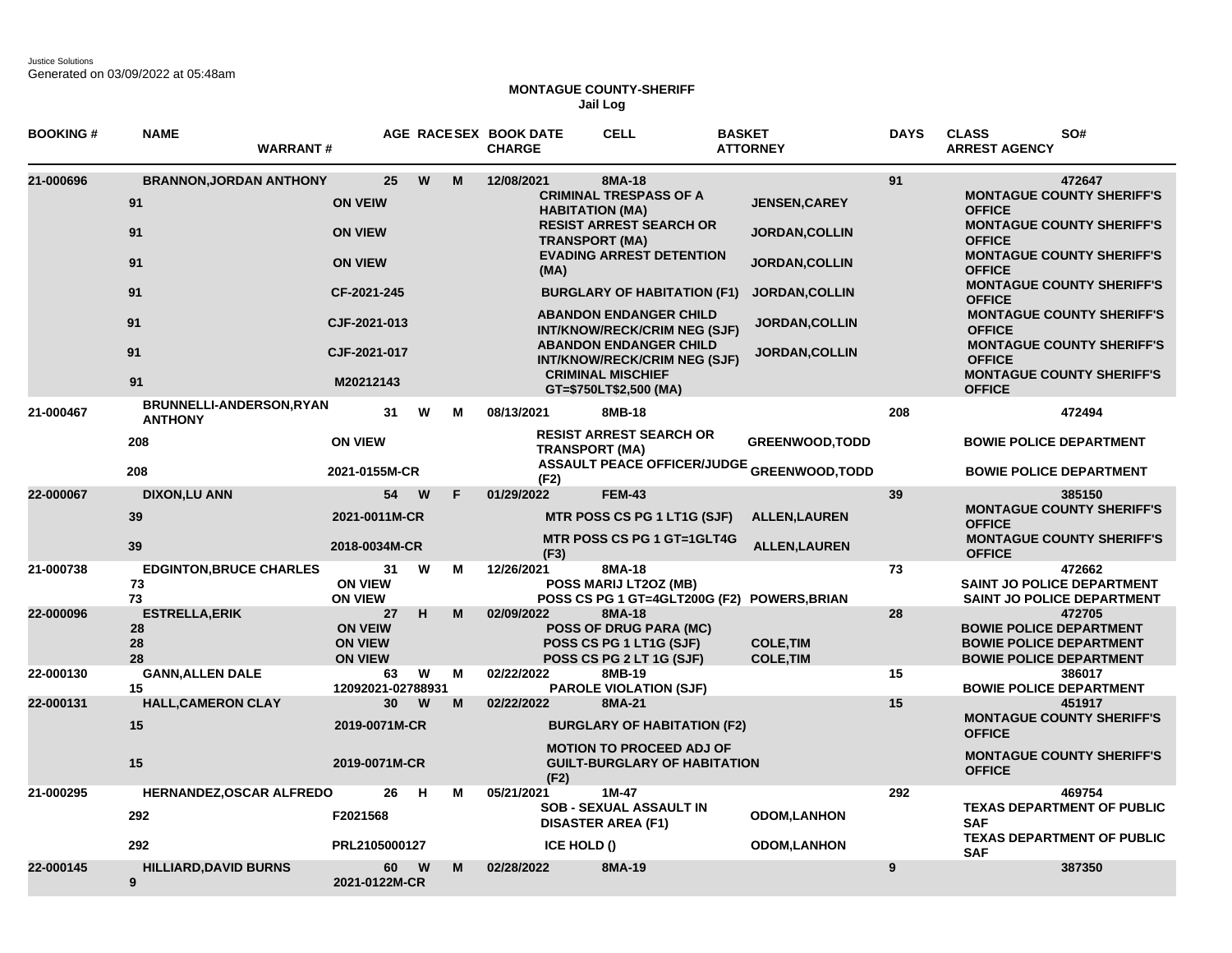Justice Solutions Generated on 03/09/2022 at 05:48am

## **MONTAGUE COUNTY-SHERIFF Jail Log**

| <b>BOOKING#</b> | <b>NAME</b>                             | <b>WARRANT#</b>                                  |                                                          |          |   | AGE RACESEX BOOK DATE<br><b>CHARGE</b> | <b>CELL</b>                                                                                      | <b>BASKET</b><br><b>ATTORNEY</b>                  | <b>DAYS</b> | <b>CLASS</b><br>SO#<br><b>ARREST AGENCY</b>                                                                  |
|-----------------|-----------------------------------------|--------------------------------------------------|----------------------------------------------------------|----------|---|----------------------------------------|--------------------------------------------------------------------------------------------------|---------------------------------------------------|-------------|--------------------------------------------------------------------------------------------------------------|
| 21-000696       |                                         | <b>BRANNON, JORDAN ANTHONY</b>                   | 25                                                       | W        | M | 12/08/2021                             | 8MA-18<br><b>CRIMINAL TRESPASS OF A</b>                                                          |                                                   | 91          | 472647<br><b>MONTAGUE COUNTY SHERIFF'S</b>                                                                   |
|                 | 91                                      | <b>ON VEIW</b>                                   |                                                          |          |   |                                        | <b>HABITATION (MA)</b><br><b>RESIST ARREST SEARCH OR</b>                                         | <b>JENSEN, CAREY</b>                              |             | <b>OFFICE</b><br><b>MONTAGUE COUNTY SHERIFF'S</b>                                                            |
|                 | 91                                      | <b>ON VIEW</b>                                   |                                                          |          |   | <b>TRANSPORT (MA)</b>                  | <b>EVADING ARREST DETENTION</b>                                                                  | <b>JORDAN,COLLIN</b>                              |             | <b>OFFICE</b><br><b>MONTAGUE COUNTY SHERIFF'S</b>                                                            |
|                 | 91                                      | <b>ON VIEW</b>                                   |                                                          |          |   | (MA)                                   |                                                                                                  | <b>JORDAN,COLLIN</b>                              |             | <b>OFFICE</b>                                                                                                |
|                 | 91                                      |                                                  | CF-2021-245                                              |          |   |                                        | <b>BURGLARY OF HABITATION (F1)</b>                                                               | <b>JORDAN, COLLIN</b>                             |             | <b>MONTAGUE COUNTY SHERIFF'S</b><br><b>OFFICE</b>                                                            |
|                 | 91                                      |                                                  | CJF-2021-013                                             |          |   |                                        | <b>ABANDON ENDANGER CHILD</b><br>INT/KNOW/RECK/CRIM NEG (SJF)                                    | <b>JORDAN, COLLIN</b>                             |             | <b>MONTAGUE COUNTY SHERIFF'S</b><br><b>OFFICE</b>                                                            |
|                 | 91                                      |                                                  | CJF-2021-017                                             |          |   |                                        | <b>ABANDON ENDANGER CHILD</b><br><b>INT/KNOW/RECK/CRIM NEG (SJF)</b><br><b>CRIMINAL MISCHIEF</b> | <b>JORDAN, COLLIN</b>                             |             | <b>MONTAGUE COUNTY SHERIFF'S</b><br><b>OFFICE</b><br><b>MONTAGUE COUNTY SHERIFF'S</b>                        |
|                 | 91                                      |                                                  | M20212143                                                |          |   |                                        | GT=\$750LT\$2,500 (MA)                                                                           |                                                   |             | <b>OFFICE</b>                                                                                                |
| 21-000467       | <b>ANTHONY</b>                          | BRUNNELLI-ANDERSON, RYAN                         | 31                                                       | W        | м | 08/13/2021                             | 8MB-18                                                                                           |                                                   | 208         | 472494                                                                                                       |
|                 | 208                                     | <b>ON VIEW</b>                                   |                                                          |          |   | <b>TRANSPORT (MA)</b>                  | <b>RESIST ARREST SEARCH OR</b>                                                                   | <b>GREENWOOD, TODD</b>                            |             | <b>BOWIE POLICE DEPARTMENT</b>                                                                               |
|                 | 208                                     |                                                  | 2021-0155M-CR                                            |          |   | (F2)                                   |                                                                                                  | <b>ASSAULT PEACE OFFICER/JUDGE GREENWOOD,TODD</b> |             | <b>BOWIE POLICE DEPARTMENT</b>                                                                               |
| 22-000067       | <b>DIXON,LU ANN</b>                     |                                                  | 54                                                       | W        | F | 01/29/2022                             | <b>FEM-43</b>                                                                                    |                                                   | 39          | 385150<br><b>MONTAGUE COUNTY SHERIFF'S</b>                                                                   |
|                 | 39                                      |                                                  | 2021-0011M-CR                                            |          |   |                                        | MTR POSS CS PG 1 LT1G (SJF)                                                                      | <b>ALLEN, LAUREN</b>                              |             | <b>OFFICE</b>                                                                                                |
|                 | 39                                      |                                                  | 2018-0034M-CR                                            |          |   | (F3)                                   | <b>MTR POSS CS PG 1 GT=1GLT4G</b>                                                                | <b>ALLEN, LAUREN</b>                              |             | <b>MONTAGUE COUNTY SHERIFF'S</b><br><b>OFFICE</b>                                                            |
| 21-000738       | 73<br>73                                | <b>EDGINTON, BRUCE CHARLES</b><br><b>ON VIEW</b> | 31<br><b>ON VIEW</b>                                     | W        | м | 12/26/2021                             | 8MA-18<br>POSS MARIJ LT2OZ (MB)                                                                  | POSS CS PG 1 GT=4GLT200G (F2) POWERS, BRIAN       | 73          | 472662<br>SAINT JO POLICE DEPARTMENT<br>SAINT JO POLICE DEPARTMENT                                           |
| 22-000096       | <b>ESTRELLA, ERIK</b><br>28<br>28<br>28 |                                                  | 27<br><b>ON VEIW</b><br><b>ON VIEW</b><br><b>ON VIEW</b> | H        | M | 02/09/2022                             | 8MA-18<br><b>POSS OF DRUG PARA (MC)</b><br>POSS CS PG 1 LT1G (SJF)<br>POSS CS PG 2 LT 1G (SJF)   | <b>COLE.TIM</b><br><b>COLE, TIM</b>               | 28          | 472705<br><b>BOWIE POLICE DEPARTMENT</b><br><b>BOWIE POLICE DEPARTMENT</b><br><b>BOWIE POLICE DEPARTMENT</b> |
| 22-000130       | <b>GANN, ALLEN DALE</b><br>15           |                                                  | 63<br>12092021-02788931                                  | W        | M | 02/22/2022                             | 8MB-19<br><b>PAROLE VIOLATION (SJF)</b>                                                          |                                                   | 15          | 386017<br><b>BOWIE POLICE DEPARTMENT</b>                                                                     |
| 22-000131       | <b>HALL, CAMERON CLAY</b>               |                                                  | 30                                                       | W        | M | 02/22/2022                             | 8MA-21                                                                                           |                                                   | 15          | 451917                                                                                                       |
|                 | 15                                      |                                                  | 2019-0071M-CR                                            |          |   |                                        | <b>BURGLARY OF HABITATION (F2)</b>                                                               |                                                   |             | <b>MONTAGUE COUNTY SHERIFF'S</b><br><b>OFFICE</b>                                                            |
|                 | 15                                      |                                                  | 2019-0071M-CR                                            |          |   | (F2)                                   | <b>MOTION TO PROCEED ADJ OF</b><br><b>GUILT-BURGLARY OF HABITATION</b>                           |                                                   |             | <b>MONTAGUE COUNTY SHERIFF'S</b><br><b>OFFICE</b>                                                            |
| 21-000295       | 292                                     | <b>HERNANDEZ, OSCAR ALFREDO</b>                  | 26<br>F2021568                                           | Н        | M | 05/21/2021                             | $1M-47$<br><b>SOB - SEXUAL ASSAULT IN</b><br><b>DISASTER AREA (F1)</b>                           | <b>ODOM,LANHON</b>                                | 292         | 469754<br><b>TEXAS DEPARTMENT OF PUBLIC</b><br><b>SAF</b>                                                    |
|                 | 292                                     |                                                  | PRL2105000127                                            |          |   | ICE HOLD ()                            |                                                                                                  | <b>ODOM,LANHON</b>                                |             | <b>TEXAS DEPARTMENT OF PUBLIC</b><br><b>SAF</b>                                                              |
| 22-000145       | <b>HILLIARD, DAVID BURNS</b><br>9       |                                                  | 60<br>2021-0122M-CR                                      | <b>W</b> | M | 02/28/2022                             | 8MA-19                                                                                           |                                                   | 9           | 387350                                                                                                       |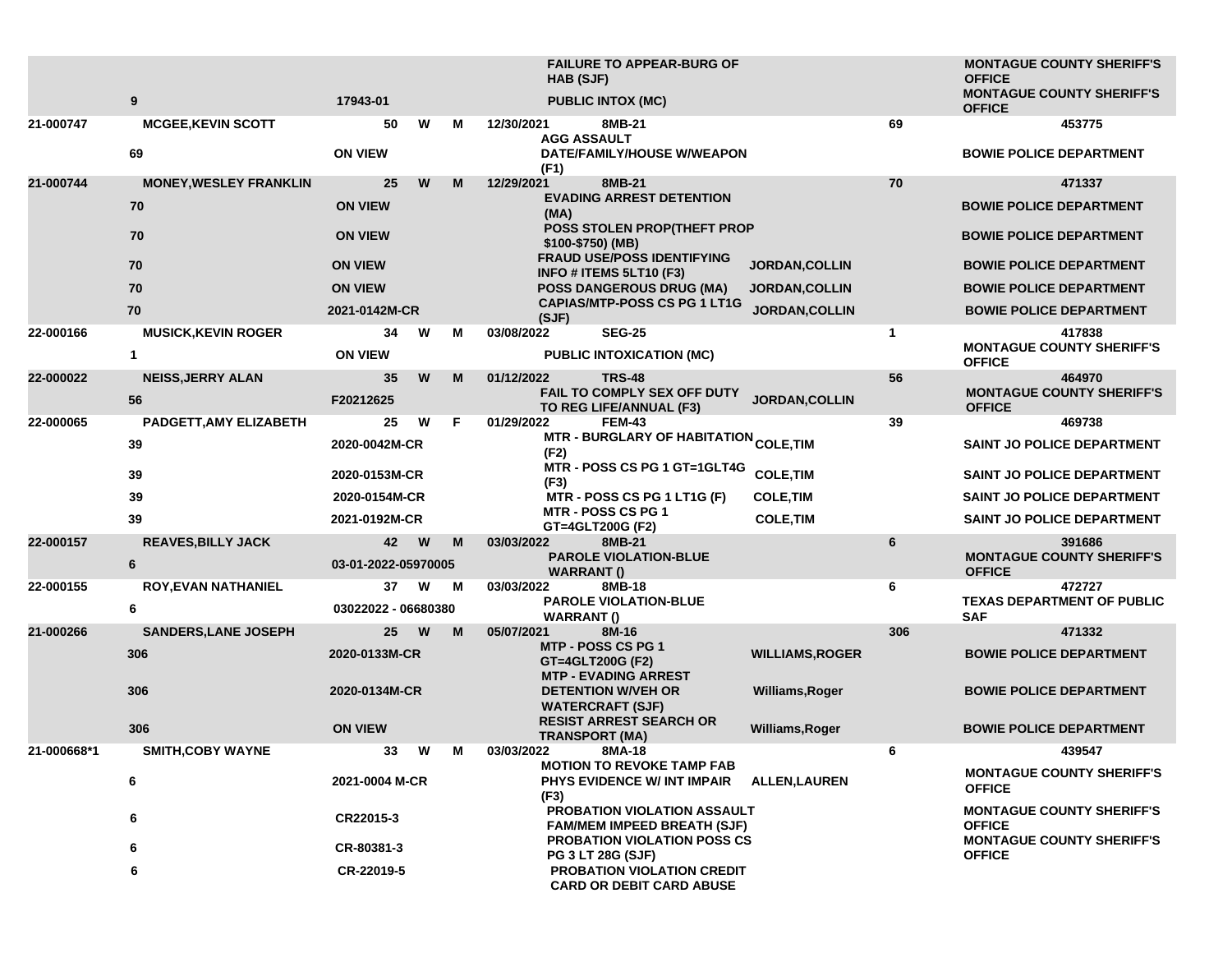|             |                               |                     |   |    | <b>FAILURE TO APPEAR-BURG OF</b><br><b>HAB (SJF)</b>                    |                                                   | <b>MONTAGUE COUNTY SHERIFF'S</b><br><b>OFFICE</b> |
|-------------|-------------------------------|---------------------|---|----|-------------------------------------------------------------------------|---------------------------------------------------|---------------------------------------------------|
|             | 9                             | 17943-01            |   |    | <b>PUBLIC INTOX (MC)</b>                                                |                                                   | <b>MONTAGUE COUNTY SHERIFF'S</b><br><b>OFFICE</b> |
| 21-000747   | <b>MCGEE, KEVIN SCOTT</b>     | 50                  | W | м  | 12/30/2021<br>8MB-21<br><b>AGG ASSAULT</b>                              | 69                                                | 453775                                            |
|             | 69                            | <b>ON VIEW</b>      |   |    | DATE/FAMILY/HOUSE W/WEAPON<br>(F1)                                      |                                                   | <b>BOWIE POLICE DEPARTMENT</b>                    |
| 21-000744   | <b>MONEY, WESLEY FRANKLIN</b> | 25                  | W | M  | 8MB-21<br>12/29/2021                                                    | 70                                                | 471337                                            |
|             | 70                            | <b>ON VIEW</b>      |   |    | <b>EVADING ARREST DETENTION</b><br>(MA)<br>POSS STOLEN PROP(THEFT PROP  |                                                   | <b>BOWIE POLICE DEPARTMENT</b>                    |
|             | 70                            | <b>ON VIEW</b>      |   |    | \$100-\$750) (MB)<br><b>FRAUD USE/POSS IDENTIFYING</b>                  |                                                   | <b>BOWIE POLICE DEPARTMENT</b>                    |
|             | 70                            | <b>ON VIEW</b>      |   |    | INFO # ITEMS 5LT10 (F3)                                                 | JORDAN, COLLIN                                    | <b>BOWIE POLICE DEPARTMENT</b>                    |
|             | 70                            | <b>ON VIEW</b>      |   |    | <b>POSS DANGEROUS DRUG (MA)</b><br><b>JORDAN, COLLIN</b>                |                                                   | <b>BOWIE POLICE DEPARTMENT</b>                    |
|             | 70                            | 2021-0142M-CR       |   |    | <b>CAPIAS/MTP-POSS CS PG 1 LT1G</b><br>(SJF)                            | JORDAN, COLLIN                                    | <b>BOWIE POLICE DEPARTMENT</b>                    |
| 22-000166   | <b>MUSICK, KEVIN ROGER</b>    | 34                  | W | М  | <b>SEG-25</b><br>03/08/2022                                             | $\mathbf{1}$                                      | 417838                                            |
|             | 1                             | <b>ON VIEW</b>      |   |    | PUBLIC INTOXICATION (MC)                                                |                                                   | <b>MONTAGUE COUNTY SHERIFF'S</b><br><b>OFFICE</b> |
| 22-000022   | <b>NEISS, JERRY ALAN</b>      | 35                  | W | M  | 01/12/2022<br><b>TRS-48</b>                                             | 56                                                | 464970                                            |
|             | 56                            | F20212625           |   |    | FAIL TO COMPLY SEX OFF DUTY<br>TO REG LIFE/ANNUAL (F3)                  | JORDAN, COLLIN                                    | <b>MONTAGUE COUNTY SHERIFF'S</b><br><b>OFFICE</b> |
| 22-000065   | PADGETT, AMY ELIZABETH        | 25                  | W | F. | 01/29/2022<br><b>FEM-43</b>                                             | 39                                                | 469738                                            |
|             | 39                            | 2020-0042M-CR       |   |    | MTR - BURGLARY OF HABITATION <sub>COLE,</sub> TIM<br>(F2)               |                                                   | <b>SAINT JO POLICE DEPARTMENT</b>                 |
|             | 39                            | 2020-0153M-CR       |   |    | MTR - POSS CS PG 1 GT=1GLT4G<br>(F3)                                    | <b>COLE, TIM</b>                                  | <b>SAINT JO POLICE DEPARTMENT</b>                 |
|             | 39                            | 2020-0154M-CR       |   |    | MTR - POSS CS PG 1 LT1G (F)                                             | <b>COLE, TIM</b>                                  | <b>SAINT JO POLICE DEPARTMENT</b>                 |
|             | 39                            | 2021-0192M-CR       |   |    | <b>MTR - POSS CS PG 1</b><br>GT=4GLT200G (F2)                           | <b>COLE, TIM</b>                                  | SAINT JO POLICE DEPARTMENT                        |
| 22-000157   | <b>REAVES, BILLY JACK</b>     | 42                  | W | M  | 03/03/2022<br>8MB-21                                                    | 6                                                 | 391686                                            |
|             | 6                             | 03-01-2022-05970005 |   |    | <b>PAROLE VIOLATION-BLUE</b><br><b>WARRANT()</b>                        |                                                   | <b>MONTAGUE COUNTY SHERIFF'S</b><br><b>OFFICE</b> |
| 22-000155   | <b>ROY, EVAN NATHANIEL</b>    | 37                  | W | M  | 03/03/2022<br>8MB-18<br><b>PAROLE VIOLATION-BLUE</b>                    | 6                                                 | 472727<br><b>TEXAS DEPARTMENT OF PUBLIC</b>       |
|             | 6                             | 03022022 - 06680380 |   |    | <b>WARRANT()</b>                                                        |                                                   | SAF                                               |
| 21-000266   | <b>SANDERS, LANE JOSEPH</b>   | 25                  | W | M  | 05/07/2021<br>8M-16<br><b>MTP - POSS CS PG 1</b>                        | 306                                               | 471332                                            |
|             | 306                           | 2020-0133M-CR       |   |    | GT=4GLT200G (F2)<br><b>MTP - EVADING ARREST</b>                         | <b>WILLIAMS, ROGER</b>                            | <b>BOWIE POLICE DEPARTMENT</b>                    |
|             | 306                           | 2020-0134M-CR       |   |    | <b>DETENTION W/VEH OR</b><br><b>WATERCRAFT (SJF)</b>                    | Williams, Roger                                   | <b>BOWIE POLICE DEPARTMENT</b>                    |
|             | 306                           | <b>ON VIEW</b>      |   |    | <b>RESIST ARREST SEARCH OR</b><br><b>TRANSPORT (MA)</b>                 | Williams, Roger                                   | <b>BOWIE POLICE DEPARTMENT</b>                    |
| 21-000668*1 | <b>SMITH, COBY WAYNE</b>      | 33                  | W | м  | 03/03/2022<br>8MA-18                                                    | 6                                                 | 439547                                            |
|             | 6                             | 2021-0004 M-CR      |   |    | <b>MOTION TO REVOKE TAMP FAB</b><br>PHYS EVIDENCE W/ INT IMPAIR<br>(F3) | <b>ALLEN, LAUREN</b>                              | <b>MONTAGUE COUNTY SHERIFF'S</b><br><b>OFFICE</b> |
|             | 6                             | CR22015-3           |   |    | PROBATION VIOLATION ASSAULT<br><b>FAM/MEM IMPEED BREATH (SJF)</b>       | <b>MONTAGUE COUNTY SHERIFF'S</b><br><b>OFFICE</b> |                                                   |
|             | 6                             | CR-80381-3          |   |    | <b>PROBATION VIOLATION POSS CS</b><br><b>PG 3 LT 28G (SJF)</b>          |                                                   | <b>MONTAGUE COUNTY SHERIFF'S</b><br><b>OFFICE</b> |
|             | 6                             | CR-22019-5          |   |    | PROBATION VIOLATION CREDIT<br><b>CARD OR DEBIT CARD ABUSE</b>           |                                                   |                                                   |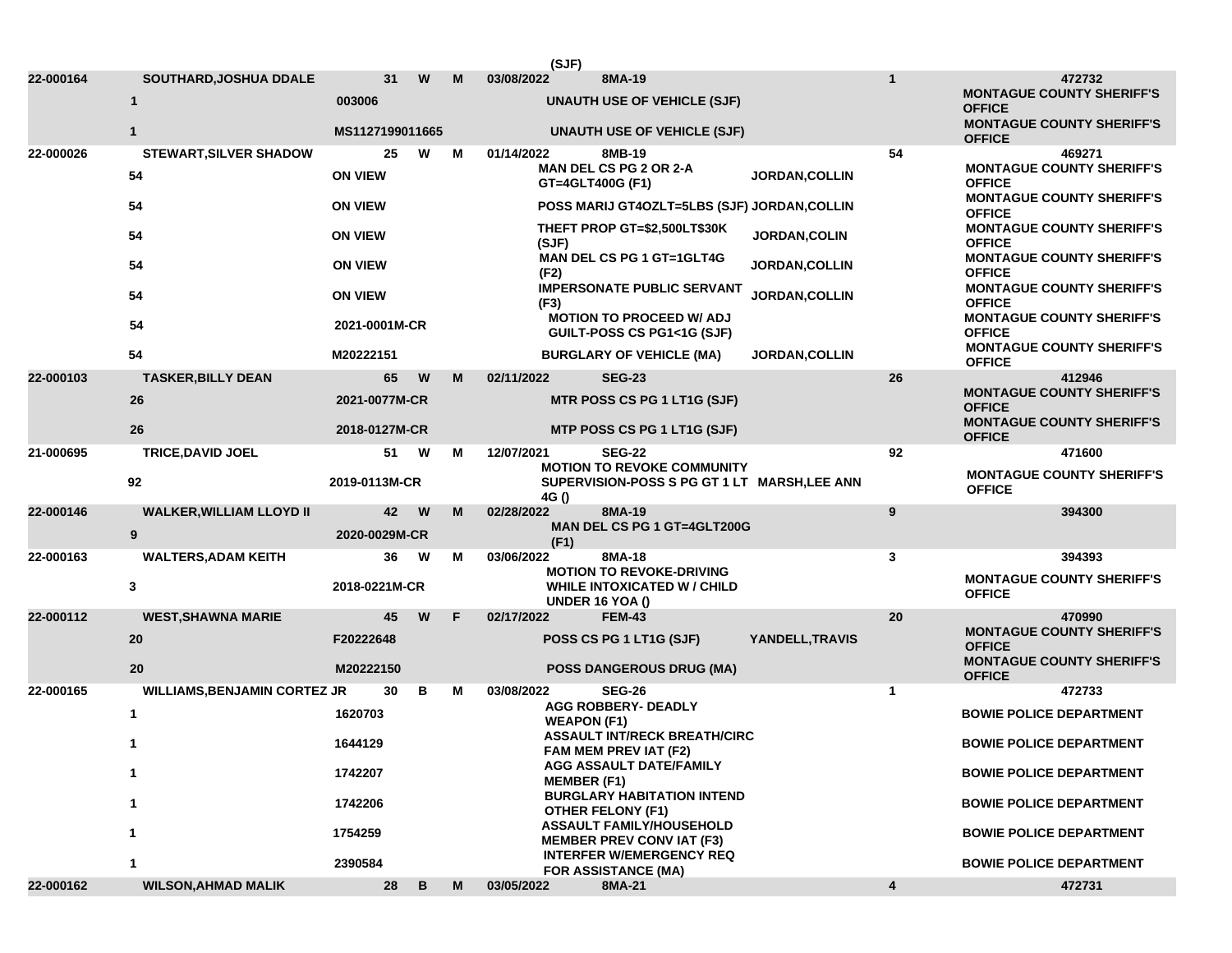|           |                                     |                 |                |   | (SJF)                                                         |                                                                    |                                         |              |                                                                                       |
|-----------|-------------------------------------|-----------------|----------------|---|---------------------------------------------------------------|--------------------------------------------------------------------|-----------------------------------------|--------------|---------------------------------------------------------------------------------------|
| 22-000164 | SOUTHARD, JOSHUA DDALE              | 31              | W              | М | 03/08/2022                                                    | 8MA-19                                                             |                                         | $\mathbf{1}$ | 472732                                                                                |
|           | 1                                   | 003006          |                |   |                                                               | <b>UNAUTH USE OF VEHICLE (SJF)</b>                                 |                                         |              | <b>MONTAGUE COUNTY SHERIFF'S</b><br><b>OFFICE</b><br><b>MONTAGUE COUNTY SHERIFF'S</b> |
|           | $\mathbf{1}$                        | MS1127199011665 |                |   |                                                               | <b>UNAUTH USE OF VEHICLE (SJF)</b>                                 |                                         |              | <b>OFFICE</b>                                                                         |
| 22-000026 | <b>STEWART, SILVER SHADOW</b>       | 25              | W              | м | 01/14/2022                                                    | 8MB-19                                                             |                                         | 54           | 469271                                                                                |
|           | 54                                  | <b>ON VIEW</b>  |                |   |                                                               | <b>MAN DEL CS PG 2 OR 2-A</b><br>GT=4GLT400G (F1)                  | <b>JORDAN, COLLIN</b>                   |              | <b>MONTAGUE COUNTY SHERIFF'S</b><br><b>OFFICE</b><br><b>MONTAGUE COUNTY SHERIFF'S</b> |
|           | 54                                  | <b>ON VIEW</b>  |                |   |                                                               | POSS MARIJ GT4OZLT=5LBS (SJF) JORDAN, COLLIN                       |                                         |              | <b>OFFICE</b>                                                                         |
|           | 54                                  | <b>ON VIEW</b>  |                |   | (SJF)                                                         | THEFT PROP GT=\$2,500LT\$30K                                       | JORDAN, COLIN                           |              | <b>MONTAGUE COUNTY SHERIFF'S</b><br><b>OFFICE</b>                                     |
|           | 54                                  |                 | <b>ON VIEW</b> |   | (F2)                                                          | MAN DEL CS PG 1 GT=1GLT4G                                          | <b>JORDAN, COLLIN</b><br>JORDAN, COLLIN |              | <b>MONTAGUE COUNTY SHERIFF'S</b><br><b>OFFICE</b>                                     |
|           | 54                                  |                 | <b>ON VIEW</b> |   | (F3)                                                          | <b>IMPERSONATE PUBLIC SERVANT</b>                                  |                                         |              | <b>MONTAGUE COUNTY SHERIFF'S</b><br><b>OFFICE</b>                                     |
|           | 54                                  | 2021-0001M-CR   |                |   |                                                               | <b>MOTION TO PROCEED W/ ADJ</b><br>GUILT-POSS CS PG1<1G (SJF)      |                                         |              | <b>MONTAGUE COUNTY SHERIFF'S</b><br><b>OFFICE</b>                                     |
|           | 54                                  | M20222151       |                |   |                                                               | <b>BURGLARY OF VEHICLE (MA)</b>                                    | <b>JORDAN,COLLIN</b>                    |              | <b>MONTAGUE COUNTY SHERIFF'S</b><br><b>OFFICE</b>                                     |
| 22-000103 | <b>TASKER, BILLY DEAN</b>           | 65              | W              | M | 02/11/2022                                                    | <b>SEG-23</b>                                                      |                                         | 26           | 412946                                                                                |
|           | 26                                  | 2021-0077M-CR   |                |   |                                                               | MTR POSS CS PG 1 LT1G (SJF)                                        |                                         |              | <b>MONTAGUE COUNTY SHERIFF'S</b><br><b>OFFICE</b>                                     |
|           | 26                                  | 2018-0127M-CR   |                |   |                                                               | MTP POSS CS PG 1 LT1G (SJF)                                        |                                         |              | <b>MONTAGUE COUNTY SHERIFF'S</b><br><b>OFFICE</b>                                     |
| 21-000695 | <b>TRICE, DAVID JOEL</b>            | 51              | W              | м | 12/07/2021                                                    | <b>SEG-22</b><br><b>MOTION TO REVOKE COMMUNITY</b>                 |                                         | 92           | 471600                                                                                |
|           | 92                                  | 2019-0113M-CR   |                |   | 4G()                                                          | SUPERVISION-POSS S PG GT 1 LT MARSH, LEE ANN                       |                                         |              | <b>MONTAGUE COUNTY SHERIFF'S</b><br><b>OFFICE</b>                                     |
| 22-000146 | <b>WALKER, WILLIAM LLOYD II</b>     | 42              | W              | м | 02/28/2022                                                    | 8MA-19                                                             |                                         | 9            | 394300                                                                                |
|           | 9                                   | 2020-0029M-CR   |                |   | (F1)                                                          | <b>MAN DEL CS PG 1 GT=4GLT200G</b>                                 |                                         |              |                                                                                       |
| 22-000163 | <b>WALTERS, ADAM KEITH</b>          | 36              | W              | м | 03/06/2022                                                    | 8MA-18<br><b>MOTION TO REVOKE-DRIVING</b>                          |                                         | 3            | 394393                                                                                |
|           | 3                                   | 2018-0221M-CR   |                |   | <b>WHILE INTOXICATED W/CHILD</b><br><b>UNDER 16 YOA ()</b>    |                                                                    |                                         |              | <b>MONTAGUE COUNTY SHERIFF'S</b><br><b>OFFICE</b>                                     |
| 22-000112 | <b>WEST, SHAWNA MARIE</b>           | 45              | W              | F | 02/17/2022                                                    | <b>FEM-43</b>                                                      |                                         | 20           | 470990                                                                                |
|           | 20                                  | F20222648       |                |   |                                                               | POSS CS PG 1 LT1G (SJF)                                            | YANDELL, TRAVIS                         |              | <b>MONTAGUE COUNTY SHERIFF'S</b><br><b>OFFICE</b>                                     |
|           | 20                                  | M20222150       |                |   |                                                               | <b>POSS DANGEROUS DRUG (MA)</b>                                    |                                         |              | <b>MONTAGUE COUNTY SHERIFF'S</b><br><b>OFFICE</b>                                     |
| 22-000165 | <b>WILLIAMS, BENJAMIN CORTEZ JR</b> | 30              | в              | м | 03/08/2022                                                    | <b>SEG-26</b>                                                      |                                         | 1            | 472733                                                                                |
|           | 1                                   | 1620703         |                |   |                                                               | <b>AGG ROBBERY- DEADLY</b><br><b>WEAPON (F1)</b>                   |                                         |              | <b>BOWIE POLICE DEPARTMENT</b>                                                        |
|           | 1644129                             |                 |                |   |                                                               | <b>ASSAULT INT/RECK BREATH/CIRC</b><br>FAM MEM PREV IAT (F2)       |                                         |              | <b>BOWIE POLICE DEPARTMENT</b>                                                        |
| 1         |                                     | 1742207         |                |   |                                                               | AGG ASSAULT DATE/FAMILY<br><b>MEMBER (F1)</b>                      |                                         |              | <b>BOWIE POLICE DEPARTMENT</b>                                                        |
|           | 1                                   | 1742206         |                |   |                                                               | <b>BURGLARY HABITATION INTEND</b><br><b>OTHER FELONY (F1)</b>      |                                         |              | <b>BOWIE POLICE DEPARTMENT</b>                                                        |
| 1         |                                     | 1754259         |                |   |                                                               | <b>ASSAULT FAMILY/HOUSEHOLD</b><br><b>MEMBER PREV CONVIAT (F3)</b> |                                         |              | <b>BOWIE POLICE DEPARTMENT</b>                                                        |
|           |                                     |                 | 2390584        |   | <b>INTERFER W/EMERGENCY REQ</b><br><b>FOR ASSISTANCE (MA)</b> |                                                                    |                                         |              | <b>BOWIE POLICE DEPARTMENT</b>                                                        |
| 22-000162 | <b>WILSON, AHMAD MALIK</b>          | 28              | В              | M | 03/05/2022                                                    | 8MA-21                                                             |                                         | 4            | 472731                                                                                |